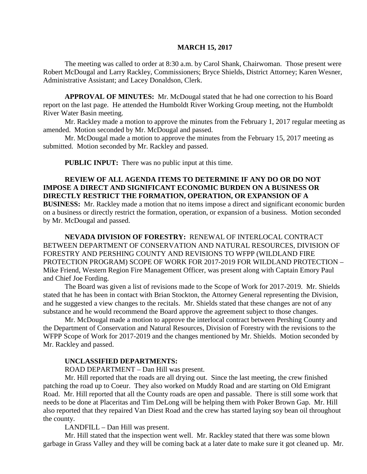### **MARCH 15, 2017**

The meeting was called to order at 8:30 a.m. by Carol Shank, Chairwoman. Those present were Robert McDougal and Larry Rackley, Commissioners; Bryce Shields, District Attorney; Karen Wesner, Administrative Assistant; and Lacey Donaldson, Clerk.

**APPROVAL OF MINUTES:** Mr. McDougal stated that he had one correction to his Board report on the last page. He attended the Humboldt River Working Group meeting, not the Humboldt River Water Basin meeting.

Mr. Rackley made a motion to approve the minutes from the February 1, 2017 regular meeting as amended. Motion seconded by Mr. McDougal and passed.

Mr. McDougal made a motion to approve the minutes from the February 15, 2017 meeting as submitted. Motion seconded by Mr. Rackley and passed.

**PUBLIC INPUT:** There was no public input at this time.

### **REVIEW OF ALL AGENDA ITEMS TO DETERMINE IF ANY DO OR DO NOT IMPOSE A DIRECT AND SIGNIFICANT ECONOMIC BURDEN ON A BUSINESS OR DIRECTLY RESTRICT THE FORMATION, OPERATION, OR EXPANSION OF A BUSINESS:** Mr. Rackley made a motion that no items impose a direct and significant economic burden on a business or directly restrict the formation, operation, or expansion of a business. Motion seconded by Mr. McDougal and passed.

**NEVADA DIVISION OF FORESTRY:** RENEWAL OF INTERLOCAL CONTRACT BETWEEN DEPARTMENT OF CONSERVATION AND NATURAL RESOURCES, DIVISION OF FORESTRY AND PERSHING COUNTY AND REVISIONS TO WFPP (WILDLAND FIRE PROTECTION PROGRAM) SCOPE OF WORK FOR 2017-2019 FOR WILDLAND PROTECTION – Mike Friend, Western Region Fire Management Officer, was present along with Captain Emory Paul and Chief Joe Fording.

The Board was given a list of revisions made to the Scope of Work for 2017-2019. Mr. Shields stated that he has been in contact with Brian Stockton, the Attorney General representing the Division, and he suggested a view changes to the recitals. Mr. Shields stated that these changes are not of any substance and he would recommend the Board approve the agreement subject to those changes.

Mr. McDougal made a motion to approve the interlocal contract between Pershing County and the Department of Conservation and Natural Resources, Division of Forestry with the revisions to the WFPP Scope of Work for 2017-2019 and the changes mentioned by Mr. Shields. Motion seconded by Mr. Rackley and passed.

### **UNCLASSIFIED DEPARTMENTS:**

ROAD DEPARTMENT – Dan Hill was present.

Mr. Hill reported that the roads are all drying out. Since the last meeting, the crew finished patching the road up to Coeur. They also worked on Muddy Road and are starting on Old Emigrant Road. Mr. Hill reported that all the County roads are open and passable. There is still some work that needs to be done at Placeritas and Tim DeLong will be helping them with Poker Brown Gap. Mr. Hill also reported that they repaired Van Diest Road and the crew has started laying soy bean oil throughout the county.

LANDFILL – Dan Hill was present.

Mr. Hill stated that the inspection went well. Mr. Rackley stated that there was some blown garbage in Grass Valley and they will be coming back at a later date to make sure it got cleaned up. Mr.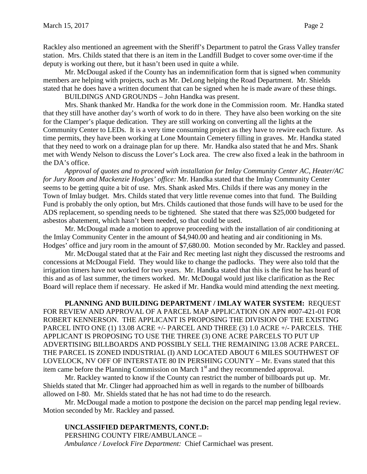Rackley also mentioned an agreement with the Sheriff's Department to patrol the Grass Valley transfer station. Mrs. Childs stated that there is an item in the Landfill Budget to cover some over-time if the deputy is working out there, but it hasn't been used in quite a while.

Mr. McDougal asked if the County has an indemnification form that is signed when community members are helping with projects, such as Mr. DeLong helping the Road Department. Mr. Shields stated that he does have a written document that can be signed when he is made aware of these things.

BUILDINGS AND GROUNDS – John Handka was present.

Mrs. Shank thanked Mr. Handka for the work done in the Commission room. Mr. Handka stated that they still have another day's worth of work to do in there. They have also been working on the site for the Clamper's plaque dedication. They are still working on converting all the lights at the Community Center to LEDs. It is a very time consuming project as they have to rewire each fixture. As time permits, they have been working at Lone Mountain Cemetery filling in graves. Mr. Handka stated that they need to work on a drainage plan for up there. Mr. Handka also stated that he and Mrs. Shank met with Wendy Nelson to discuss the Lover's Lock area. The crew also fixed a leak in the bathroom in the DA's office.

*Approval of quotes and to proceed with installation for Imlay Community Center AC, Heater/AC for Jury Room and Mackenzie Hodges' office:* Mr. Handka stated that the Imlay Community Center seems to be getting quite a bit of use. Mrs. Shank asked Mrs. Childs if there was any money in the Town of Imlay budget. Mrs. Childs stated that very little revenue comes into that fund. The Building Fund is probably the only option, but Mrs. Childs cautioned that those funds will have to be used for the ADS replacement, so spending needs to be tightened. She stated that there was \$25,000 budgeted for asbestos abatement, which hasn't been needed, so that could be used.

Mr. McDougal made a motion to approve proceeding with the installation of air conditioning at the Imlay Community Center in the amount of \$4,940.00 and heating and air conditioning in Ms. Hodges' office and jury room in the amount of \$7,680.00. Motion seconded by Mr. Rackley and passed.

Mr. McDougal stated that at the Fair and Rec meeting last night they discussed the restrooms and concessions at McDougal Field. They would like to change the padlocks. They were also told that the irrigation timers have not worked for two years. Mr. Handka stated that this is the first he has heard of this and as of last summer, the timers worked. Mr. McDougal would just like clarification as the Rec Board will replace them if necessary. He asked if Mr. Handka would mind attending the next meeting.

**PLANNING AND BUILDING DEPARTMENT / IMLAY WATER SYSTEM:** REQUEST FOR REVIEW AND APPROVAL OF A PARCEL MAP APPLICATION ON APN #007-421-01 FOR ROBERT KENNERSON. THE APPLICANT IS PROPOSING THE DIVISION OF THE EXISTING PARCEL INTO ONE (1) 13.08 ACRE +/- PARCEL AND THREE (3) 1.0 ACRE +/- PARCELS. THE APPLICANT IS PROPOSING TO USE THE THREE (3) ONE ACRE PARCELS TO PUT UP ADVERTISING BILLBOARDS AND POSSIBLY SELL THE REMAINING 13.08 ACRE PARCEL. THE PARCEL IS ZONED INDUSTRIAL (I) AND LOCATED ABOUT 6 MILES SOUTHWEST OF LOVELOCK, NV OFF OF INTERSTATE 80 IN PERSHING COUNTY – Mr. Evans stated that this item came before the Planning Commission on March  $1<sup>st</sup>$  and they recommended approval.

Mr. Rackley wanted to know if the County can restrict the number of billboards put up. Mr. Shields stated that Mr. Clinger had approached him as well in regards to the number of billboards allowed on I-80. Mr. Shields stated that he has not had time to do the research.

Mr. McDougal made a motion to postpone the decision on the parcel map pending legal review. Motion seconded by Mr. Rackley and passed.

**UNCLASSIFIED DEPARTMENTS, CONT.D:** PERSHING COUNTY FIRE/AMBULANCE – *Ambulance / Lovelock Fire Department:* Chief Carmichael was present.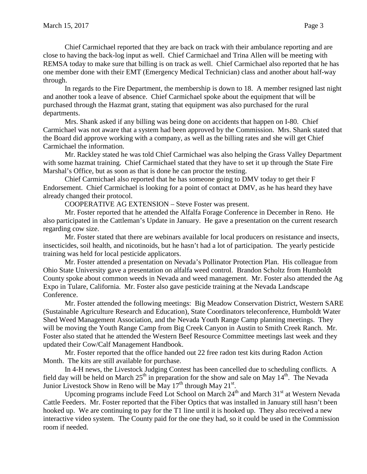Chief Carmichael reported that they are back on track with their ambulance reporting and are close to having the back-log input as well. Chief Carmichael and Trina Allen will be meeting with REMSA today to make sure that billing is on track as well. Chief Carmichael also reported that he has one member done with their EMT (Emergency Medical Technician) class and another about half-way through.

In regards to the Fire Department, the membership is down to 18. A member resigned last night and another took a leave of absence. Chief Carmichael spoke about the equipment that will be purchased through the Hazmat grant, stating that equipment was also purchased for the rural departments.

Mrs. Shank asked if any billing was being done on accidents that happen on I-80. Chief Carmichael was not aware that a system had been approved by the Commission. Mrs. Shank stated that the Board did approve working with a company, as well as the billing rates and she will get Chief Carmichael the information.

Mr. Rackley stated he was told Chief Carmichael was also helping the Grass Valley Department with some hazmat training. Chief Carmichael stated that they have to set it up through the State Fire Marshal's Office, but as soon as that is done he can proctor the testing.

Chief Carmichael also reported that he has someone going to DMV today to get their F Endorsement. Chief Carmichael is looking for a point of contact at DMV, as he has heard they have already changed their protocol.

COOPERATIVE AG EXTENSION – Steve Foster was present.

Mr. Foster reported that he attended the Alfalfa Forage Conference in December in Reno. He also participated in the Cattleman's Update in January. He gave a presentation on the current research regarding cow size.

Mr. Foster stated that there are webinars available for local producers on resistance and insects, insecticides, soil health, and nicotinoids, but he hasn't had a lot of participation. The yearly pesticide training was held for local pesticide applicators.

Mr. Foster attended a presentation on Nevada's Pollinator Protection Plan. His colleague from Ohio State University gave a presentation on alfalfa weed control. Brandon Scholtz from Humboldt County spoke about common weeds in Nevada and weed management. Mr. Foster also attended the Ag Expo in Tulare, California. Mr. Foster also gave pesticide training at the Nevada Landscape Conference.

Mr. Foster attended the following meetings: Big Meadow Conservation District, Western SARE (Sustainable Agriculture Research and Education), State Coordinators teleconference, Humboldt Water Shed Weed Management Association, and the Nevada Youth Range Camp planning meetings. They will be moving the Youth Range Camp from Big Creek Canyon in Austin to Smith Creek Ranch. Mr. Foster also stated that he attended the Western Beef Resource Committee meetings last week and they updated their Cow/Calf Management Handbook.

Mr. Foster reported that the office handed out 22 free radon test kits during Radon Action Month. The kits are still available for purchase.

In 4-H news, the Livestock Judging Contest has been cancelled due to scheduling conflicts. A field day will be held on March  $25<sup>th</sup>$  in preparation for the show and sale on May  $14<sup>th</sup>$ . The Nevada Junior Livestock Show in Reno will be May  $17<sup>th</sup>$  through May  $21<sup>st</sup>$ .

Upcoming programs include Feed Lot School on March  $24<sup>th</sup>$  and March  $31<sup>st</sup>$  at Western Nevada Cattle Feeders. Mr. Foster reported that the Fiber Optics that was installed in January still hasn't been hooked up. We are continuing to pay for the T1 line until it is hooked up. They also received a new interactive video system. The County paid for the one they had, so it could be used in the Commission room if needed.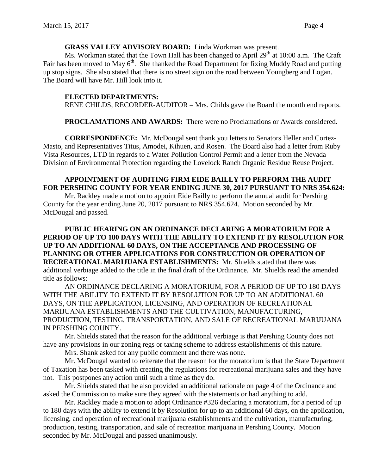### **GRASS VALLEY ADVISORY BOARD:** Linda Workman was present.

Ms. Workman stated that the Town Hall has been changed to April  $29<sup>th</sup>$  at 10:00 a.m. The Craft Fair has been moved to May  $6<sup>th</sup>$ . She thanked the Road Department for fixing Muddy Road and putting up stop signs. She also stated that there is no street sign on the road between Youngberg and Logan. The Board will have Mr. Hill look into it.

### **ELECTED DEPARTMENTS:**

RENE CHILDS, RECORDER-AUDITOR – Mrs. Childs gave the Board the month end reports.

**PROCLAMATIONS AND AWARDS:** There were no Proclamations or Awards considered.

**CORRESPONDENCE:** Mr. McDougal sent thank you letters to Senators Heller and Cortez-Masto, and Representatives Titus, Amodei, Kihuen, and Rosen. The Board also had a letter from Ruby Vista Resources, LTD in regards to a Water Pollution Control Permit and a letter from the Nevada Division of Environmental Protection regarding the Lovelock Ranch Organic Residue Reuse Project.

## **APPOINTMENT OF AUDITING FIRM EIDE BAILLY TO PERFORM THE AUDIT FOR PERSHING COUNTY FOR YEAR ENDING JUNE 30, 2017 PURSUANT TO NRS 354.624:**

Mr. Rackley made a motion to appoint Eide Bailly to perform the annual audit for Pershing County for the year ending June 20, 2017 pursuant to NRS 354.624. Motion seconded by Mr. McDougal and passed.

### **PUBLIC HEARING ON AN ORDINANCE DECLARING A MORATORIUM FOR A PERIOD OF UP TO 180 DAYS WITH THE ABILITY TO EXTEND IT BY RESOLUTION FOR UP TO AN ADDITIONAL 60 DAYS, ON THE ACCEPTANCE AND PROCESSING OF PLANNING OR OTHER APPLICATIONS FOR CONSTRUCTION OR OPERATION OF RECREATIONAL MARIJUANA ESTABLISHMENTS:** Mr. Shields stated that there was additional verbiage added to the title in the final draft of the Ordinance. Mr. Shields read the amended title as follows:

AN ORDINANCE DECLARING A MORATORIUM, FOR A PERIOD OF UP TO 180 DAYS WITH THE ABILITY TO EXTEND IT BY RESOLUTION FOR UP TO AN ADDITIONAL 60 DAYS, ON THE APPLICATION, LICENSING, AND OPERATION OF RECREATIONAL MARIJUANA ESTABLISHMENTS AND THE CULTIVATION, MANUFACTURING, PRODUCTION, TESTING, TRANSPORTATION, AND SALE OF RECREATIONAL MARIJUANA IN PERSHING COUNTY.

Mr. Shields stated that the reason for the additional verbiage is that Pershing County does not have any provisions in our zoning regs or taxing scheme to address establishments of this nature.

Mrs. Shank asked for any public comment and there was none.

Mr. McDougal wanted to reiterate that the reason for the moratorium is that the State Department of Taxation has been tasked with creating the regulations for recreational marijuana sales and they have not. This postpones any action until such a time as they do.

Mr. Shields stated that he also provided an additional rationale on page 4 of the Ordinance and asked the Commission to make sure they agreed with the statements or had anything to add.

Mr. Rackley made a motion to adopt Ordinance #326 declaring a moratorium, for a period of up to 180 days with the ability to extend it by Resolution for up to an additional 60 days, on the application, licensing, and operation of recreational marijuana establishments and the cultivation, manufacturing, production, testing, transportation, and sale of recreation marijuana in Pershing County. Motion seconded by Mr. McDougal and passed unanimously.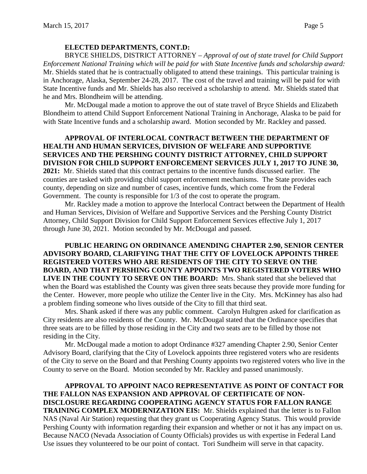# **ELECTED DEPARTMENTS, CONT.D:**

BRYCE SHIELDS, DISTRICT ATTORNEY – *Approval of out of state travel for Child Support Enforcement National Training which will be paid for with State Incentive funds and scholarship award:*  Mr. Shields stated that he is contractually obligated to attend these trainings. This particular training is in Anchorage, Alaska, September 24-28, 2017. The cost of the travel and training will be paid for with State Incentive funds and Mr. Shields has also received a scholarship to attend. Mr. Shields stated that he and Mrs. Blondheim will be attending.

Mr. McDougal made a motion to approve the out of state travel of Bryce Shields and Elizabeth Blondheim to attend Child Support Enforcement National Training in Anchorage, Alaska to be paid for with State Incentive funds and a scholarship award. Motion seconded by Mr. Rackley and passed.

**APPROVAL OF INTERLOCAL CONTRACT BETWEEN THE DEPARTMENT OF HEALTH AND HUMAN SERVICES, DIVISION OF WELFARE AND SUPPORTIVE SERVICES AND THE PERSHING COUNTY DISTRICT ATTORNEY, CHILD SUPPORT DIVISION FOR CHILD SUPPORT ENFORCEMENT SERVICES JULY 1, 2017 TO JUNE 30, 2021:** Mr. Shields stated that this contract pertains to the incentive funds discussed earlier. The counties are tasked with providing child support enforcement mechanisms. The State provides each county, depending on size and number of cases, incentive funds, which come from the Federal Government. The county is responsible for 1/3 of the cost to operate the program.

Mr. Rackley made a motion to approve the Interlocal Contract between the Department of Health and Human Services, Division of Welfare and Supportive Services and the Pershing County District Attorney, Child Support Division for Child Support Enforcement Services effective July 1, 2017 through June 30, 2021. Motion seconded by Mr. McDougal and passed.

**PUBLIC HEARING ON ORDINANCE AMENDING CHAPTER 2.90, SENIOR CENTER ADVISORY BOARD, CLARIFYING THAT THE CITY OF LOVELOCK APPOINTS THREE REGISTERED VOTERS WHO ARE RESIDENTS OF THE CITY TO SERVE ON THE BOARD, AND THAT PERSHING COUNTY APPOINTS TWO REGISTERED VOTERS WHO LIVE IN THE COUNTY TO SERVE ON THE BOARD:** Mrs. Shank stated that she believed that when the Board was established the County was given three seats because they provide more funding for the Center. However, more people who utilize the Center live in the City. Mrs. McKinney has also had a problem finding someone who lives outside of the City to fill that third seat.

Mrs. Shank asked if there was any public comment. Carolyn Hultgren asked for clarification as City residents are also residents of the County. Mr. McDougal stated that the Ordinance specifies that three seats are to be filled by those residing in the City and two seats are to be filled by those not residing in the City.

Mr. McDougal made a motion to adopt Ordinance #327 amending Chapter 2.90, Senior Center Advisory Board, clarifying that the City of Lovelock appoints three registered voters who are residents of the City to serve on the Board and that Pershing County appoints two registered voters who live in the County to serve on the Board. Motion seconded by Mr. Rackley and passed unanimously.

**APPROVAL TO APPOINT NACO REPRESENTATIVE AS POINT OF CONTACT FOR THE FALLON NAS EXPANSION AND APPROVAL OF CERTIFICATE OF NON-DISCLOSURE REGARDING COOPERATING AGENCY STATUS FOR FALLON RANGE TRAINING COMPLEX MODERNIZATION EIS:** Mr. Shields explained that the letter is to Fallon NAS (Naval Air Station) requesting that they grant us Cooperating Agency Status. This would provide Pershing County with information regarding their expansion and whether or not it has any impact on us. Because NACO (Nevada Association of County Officials) provides us with expertise in Federal Land Use issues they volunteered to be our point of contact. Tori Sundheim will serve in that capacity.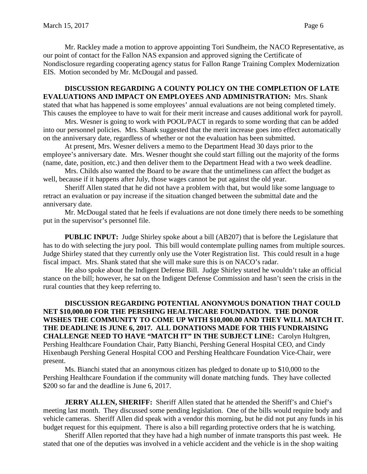Mr. Rackley made a motion to approve appointing Tori Sundheim, the NACO Representative, as our point of contact for the Fallon NAS expansion and approved signing the Certificate of Nondisclosure regarding cooperating agency status for Fallon Range Training Complex Modernization EIS. Motion seconded by Mr. McDougal and passed.

### **DISCUSSION REGARDING A COUNTY POLICY ON THE COMPLETION OF LATE EVALUATIONS AND IMPACT ON EMPLOYEES AND ADMINISTRATION:** Mrs. Shank stated that what has happened is some employees' annual evaluations are not being completed timely.

This causes the employee to have to wait for their merit increase and causes additional work for payroll.

Mrs. Wesner is going to work with POOL/PACT in regards to some wording that can be added into our personnel policies. Mrs. Shank suggested that the merit increase goes into effect automatically on the anniversary date, regardless of whether or not the evaluation has been submitted.

At present, Mrs. Wesner delivers a memo to the Department Head 30 days prior to the employee's anniversary date. Mrs. Wesner thought she could start filling out the majority of the forms (name, date, position, etc.) and then deliver them to the Department Head with a two week deadline.

Mrs. Childs also wanted the Board to be aware that the untimeliness can affect the budget as well, because if it happens after July, those wages cannot be put against the old year.

Sheriff Allen stated that he did not have a problem with that, but would like some language to retract an evaluation or pay increase if the situation changed between the submittal date and the anniversary date.

Mr. McDougal stated that he feels if evaluations are not done timely there needs to be something put in the supervisor's personnel file.

**PUBLIC INPUT:** Judge Shirley spoke about a bill (AB207) that is before the Legislature that has to do with selecting the jury pool. This bill would contemplate pulling names from multiple sources. Judge Shirley stated that they currently only use the Voter Registration list. This could result in a huge fiscal impact. Mrs. Shank stated that she will make sure this is on NACO's radar.

He also spoke about the Indigent Defense Bill. Judge Shirley stated he wouldn't take an official stance on the bill; however, he sat on the Indigent Defense Commission and hasn't seen the crisis in the rural counties that they keep referring to.

**DISCUSSION REGARDING POTENTIAL ANONYMOUS DONATION THAT COULD NET \$10,000.00 FOR THE PERSHING HEALTHCARE FOUNDATION. THE DONOR WISHES THE COMMUNITY TO COME UP WITH \$10,000.00 AND THEY WILL MATCH IT. THE DEADLINE IS JUNE 6, 2017. ALL DONATIONS MADE FOR THIS FUNDRAISING CHALLENGE NEED TO HAVE "MATCH IT" IN THE SUBJECT LINE:** Carolyn Hultgren, Pershing Healthcare Foundation Chair, Patty Bianchi, Pershing General Hospital CEO, and Cindy Hixenbaugh Pershing General Hospital COO and Pershing Healthcare Foundation Vice-Chair, were present.

Ms. Bianchi stated that an anonymous citizen has pledged to donate up to \$10,000 to the Pershing Healthcare Foundation if the community will donate matching funds. They have collected \$200 so far and the deadline is June 6, 2017.

**JERRY ALLEN, SHERIFF:** Sheriff Allen stated that he attended the Sheriff's and Chief's meeting last month. They discussed some pending legislation. One of the bills would require body and vehicle cameras. Sheriff Allen did speak with a vendor this morning, but he did not put any funds in his budget request for this equipment. There is also a bill regarding protective orders that he is watching.

Sheriff Allen reported that they have had a high number of inmate transports this past week. He stated that one of the deputies was involved in a vehicle accident and the vehicle is in the shop waiting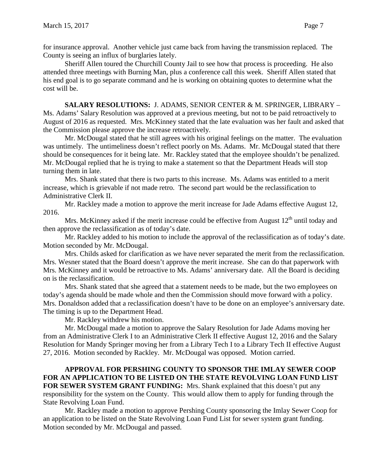for insurance approval. Another vehicle just came back from having the transmission replaced. The County is seeing an influx of burglaries lately.

Sheriff Allen toured the Churchill County Jail to see how that process is proceeding. He also attended three meetings with Burning Man, plus a conference call this week. Sheriff Allen stated that his end goal is to go separate command and he is working on obtaining quotes to determine what the cost will be.

### **SALARY RESOLUTIONS:** J. ADAMS, SENIOR CENTER & M. SPRINGER, LIBRARY –

Ms. Adams' Salary Resolution was approved at a previous meeting, but not to be paid retroactively to August of 2016 as requested. Mrs. McKinney stated that the late evaluation was her fault and asked that the Commission please approve the increase retroactively.

Mr. McDougal stated that he still agrees with his original feelings on the matter. The evaluation was untimely. The untimeliness doesn't reflect poorly on Ms. Adams. Mr. McDougal stated that there should be consequences for it being late. Mr. Rackley stated that the employee shouldn't be penalized. Mr. McDougal replied that he is trying to make a statement so that the Department Heads will stop turning them in late.

Mrs. Shank stated that there is two parts to this increase. Ms. Adams was entitled to a merit increase, which is grievable if not made retro. The second part would be the reclassification to Administrative Clerk II.

Mr. Rackley made a motion to approve the merit increase for Jade Adams effective August 12, 2016.

Mrs. McKinney asked if the merit increase could be effective from August  $12<sup>th</sup>$  until today and then approve the reclassification as of today's date.

Mr. Rackley added to his motion to include the approval of the reclassification as of today's date. Motion seconded by Mr. McDougal.

Mrs. Childs asked for clarification as we have never separated the merit from the reclassification. Mrs. Wesner stated that the Board doesn't approve the merit increase. She can do that paperwork with Mrs. McKinney and it would be retroactive to Ms. Adams' anniversary date. All the Board is deciding on is the reclassification.

Mrs. Shank stated that she agreed that a statement needs to be made, but the two employees on today's agenda should be made whole and then the Commission should move forward with a policy. Mrs. Donaldson added that a reclassification doesn't have to be done on an employee's anniversary date. The timing is up to the Department Head.

Mr. Rackley withdrew his motion.

Mr. McDougal made a motion to approve the Salary Resolution for Jade Adams moving her from an Administrative Clerk I to an Administrative Clerk II effective August 12, 2016 and the Salary Resolution for Mandy Springer moving her from a Library Tech I to a Library Tech II effective August 27, 2016. Motion seconded by Rackley. Mr. McDougal was opposed. Motion carried.

## **APPROVAL FOR PERSHING COUNTY TO SPONSOR THE IMLAY SEWER COOP FOR AN APPLICATION TO BE LISTED ON THE STATE REVOLVING LOAN FUND LIST**

**FOR SEWER SYSTEM GRANT FUNDING:** Mrs. Shank explained that this doesn't put any responsibility for the system on the County. This would allow them to apply for funding through the State Revolving Loan Fund.

Mr. Rackley made a motion to approve Pershing County sponsoring the Imlay Sewer Coop for an application to be listed on the State Revolving Loan Fund List for sewer system grant funding. Motion seconded by Mr. McDougal and passed.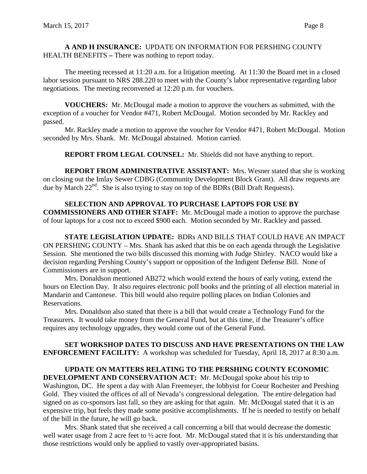**A AND H INSURANCE:** UPDATE ON INFORMATION FOR PERSHING COUNTY HEALTH BENEFITS **–** There was nothing to report today.

The meeting recessed at 11:20 a.m. for a litigation meeting. At 11:30 the Board met in a closed labor session pursuant to NRS 288.220 to meet with the County's labor representative regarding labor negotiations. The meeting reconvened at 12:20 p.m. for vouchers.

**VOUCHERS:** Mr. McDougal made a motion to approve the vouchers as submitted, with the exception of a voucher for Vendor #471, Robert McDougal. Motion seconded by Mr. Rackley and passed.

Mr. Rackley made a motion to approve the voucher for Vendor #471, Robert McDougal. Motion seconded by Mrs. Shank. Mr. McDougal abstained. Motion carried.

**REPORT FROM LEGAL COUNSEL:** Mr. Shields did not have anything to report.

**REPORT FROM ADMINISTRATIVE ASSISTANT:** Mrs. Wesner stated that she is working on closing out the Imlay Sewer CDBG (Community Development Block Grant). All draw requests are due by March  $22<sup>nd</sup>$ . She is also trying to stay on top of the BDRs (Bill Draft Requests).

## **SELECTION AND APPROVAL TO PURCHASE LAPTOPS FOR USE BY**

**COMMISSIONERS AND OTHER STAFF:** Mr. McDougal made a motion to approve the purchase of four laptops for a cost not to exceed \$900 each. Motion seconded by Mr. Rackley and passed.

**STATE LEGISLATION UPDATE:** BDRs AND BILLS THAT COULD HAVE AN IMPACT ON PERSHING COUNTY – Mrs. Shank has asked that this be on each agenda through the Legislative Session. She mentioned the two bills discussed this morning with Judge Shirley. NACO would like a decision regarding Pershing County's support or opposition of the Indigent Defense Bill. None of Commissioners are in support.

Mrs. Donaldson mentioned AB272 which would extend the hours of early voting, extend the hours on Election Day. It also requires electronic poll books and the printing of all election material in Mandarin and Cantonese. This bill would also require polling places on Indian Colonies and Reservations.

Mrs. Donaldson also stated that there is a bill that would create a Technology Fund for the Treasurers. It would take money from the General Fund, but at this time, if the Treasurer's office requires any technology upgrades, they would come out of the General Fund.

**SET WORKSHOP DATES TO DISCUSS AND HAVE PRESENTATIONS ON THE LAW ENFORCEMENT FACILITY:** A workshop was scheduled for Tuesday, April 18, 2017 at 8:30 a.m.

**UPDATE ON MATTERS RELATING TO THE PERSHING COUNTY ECONOMIC DEVELOPMENT AND CONSERVATION ACT:** Mr. McDougal spoke about his trip to Washington, DC. He spent a day with Alan Freemeyer, the lobbyist for Coeur Rochester and Pershing Gold. They visited the offices of all of Nevada's congressional delegation. The entire delegation had signed on as co-sponsors last fall, so they are asking for that again. Mr. McDougal stated that it is an expensive trip, but feels they made some positive accomplishments. If he is needed to testify on behalf of the bill in the future, he will go back.

Mrs. Shank stated that she received a call concerning a bill that would decrease the domestic well water usage from 2 acre feet to  $\frac{1}{2}$  acre foot. Mr. McDougal stated that it is his understanding that those restrictions would only be applied to vastly over-appropriated basins.